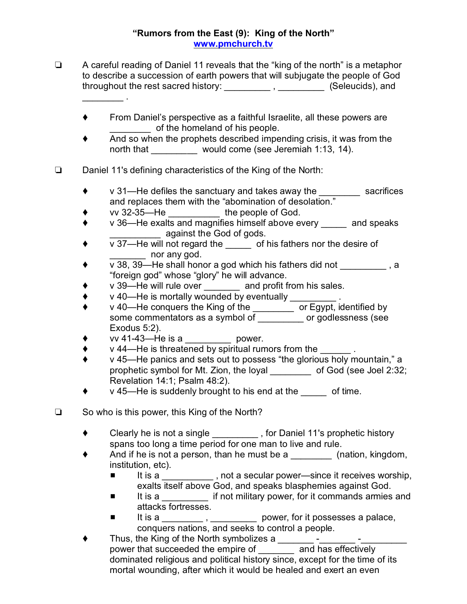## **"Rumors from the East (9): King of the North" [www.pmchurch.tv](http://www.pmchurch.tv)**

- $\Box$  A careful reading of Daniel 11 reveals that the "king of the north" is a metaphor to describe a succession of earth powers that will subjugate the people of God throughout the rest sacred history: \_\_\_\_\_\_\_\_\_\_\_\_, \_\_\_\_\_\_\_\_\_ (Seleucids), and  $\overline{\phantom{a}}$  .
	- ◆ From Daniel's perspective as a faithful Israelite, all these powers are of the homeland of his people.
	- And so when the prophets described impending crisis, it was from the north that would come (see Jeremiah 1:13, 14).
- $\Box$  Daniel 11's defining characteristics of the King of the North:
	- v 31—He defiles the sanctuary and takes away the sacrifices and replaces them with the "abomination of desolation."
	- $\begin{array}{cc}\n\bullet & \text{vv } 32\text{-}35 \text{---} \text{He} \text{---} \\
	\bullet & \text{v } 36 \text{---} \text{He } \text{exalls} \text{ and manifies himself above ex}\n\end{array}$
	- v 36—He exalts and magnifies himself above every \_\_\_\_\_ and speaks against the God of gods.
	- $\overline{v}$   $\overline{v}$  37—He will not regard the \_\_\_\_\_ of his fathers nor the desire of nor any god.
	- v 38, 39—He shall honor a god which his fathers did not \_\_\_\_\_\_\_\_\_ , a "foreign god" whose "glory" he will advance.
	- ◆ v 39—He will rule over \_\_\_\_\_\_\_ and profit from his sales.
	- v 40—He is mortally wounded by eventually \_\_\_\_\_\_\_\_\_ .
	- v 40—He conquers the King of the \_\_\_\_\_\_\_\_ or Egypt, identified by some commentators as a symbol of \_\_\_\_\_\_\_\_ or godlessness (see Exodus 5:2).
	- $\bullet$  vv 41-43—He is a cower.
	- v 44—He is threatened by spiritual rumors from the  $\qquad \qquad$ .
	- v 45—He panics and sets out to possess "the glorious holy mountain," a prophetic symbol for Mt. Zion, the loyal of God (see Joel 2:32; Revelation 14:1; Psalm 48:2).
	- $\bullet$  v 45—He is suddenly brought to his end at the of time.
- $\Box$  So who is this power, this King of the North?
	- ◆ Clearly he is not a single **that is contact the Strutter of Clearly he is not a single** section of the Daniel 11's prophetic history spans too long a time period for one man to live and rule.
	- And if he is not a person, than he must be a \_\_\_\_\_\_\_\_\_ (nation, kingdom, institution, etc).
		- It is a \_\_\_\_\_\_\_\_\_\_, not a secular power—since it receives worship, exalts itself above God, and speaks blasphemies against God.
		- It is a if not military power, for it commands armies and attacks fortresses.
		- It is a \_\_\_\_\_\_\_\_\_, \_\_\_\_\_\_\_\_\_\_ power, for it possesses a palace, conquers nations, and seeks to control a people.
	- Thus, the King of the North symbolizes a \_\_\_\_\_\_\_ -\_\_\_\_\_\_\_ -\_\_\_\_\_\_\_\_\_ power that succeeded the empire of \_\_\_\_\_\_\_ and has effectively dominated religious and political history since, except for the time of its mortal wounding, after which it would be healed and exert an even